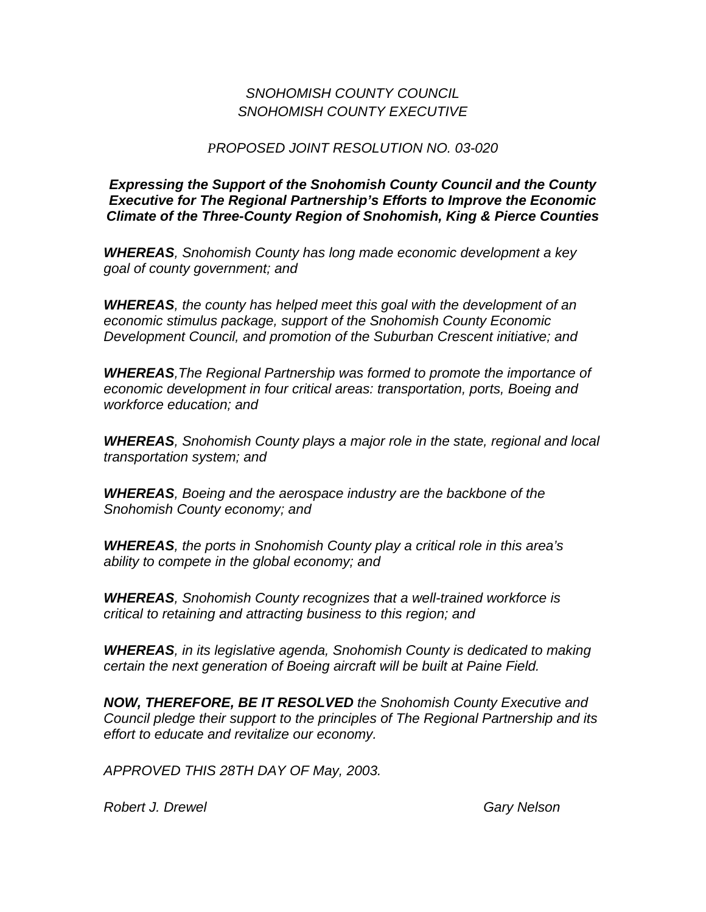## *SNOHOMISH COUNTY COUNCIL SNOHOMISH COUNTY EXECUTIVE*

## *PROPOSED JOINT RESOLUTION NO. 03-020*

*Expressing the Support of the Snohomish County Council and the County Executive for The Regional Partnership's Efforts to Improve the Economic Climate of the Three-County Region of Snohomish, King & Pierce Counties*

*WHEREAS, Snohomish County has long made economic development a key goal of county government; and*

*WHEREAS, the county has helped meet this goal with the development of an economic stimulus package, support of the Snohomish County Economic Development Council, and promotion of the Suburban Crescent initiative; and*

*WHEREAS,The Regional Partnership was formed to promote the importance of economic development in four critical areas: transportation, ports, Boeing and workforce education; and*

*WHEREAS, Snohomish County plays a major role in the state, regional and local transportation system; and*

*WHEREAS, Boeing and the aerospace industry are the backbone of the Snohomish County economy; and*

*WHEREAS, the ports in Snohomish County play a critical role in this area's ability to compete in the global economy; and*

*WHEREAS, Snohomish County recognizes that a well-trained workforce is critical to retaining and attracting business to this region; and*

*WHEREAS, in its legislative agenda, Snohomish County is dedicated to making certain the next generation of Boeing aircraft will be built at Paine Field.*

*NOW, THEREFORE, BE IT RESOLVED the Snohomish County Executive and Council pledge their support to the principles of The Regional Partnership and its effort to educate and revitalize our economy.*

*APPROVED THIS 28TH DAY OF May, 2003.*

**Robert J. Drewel Gary Nelson**